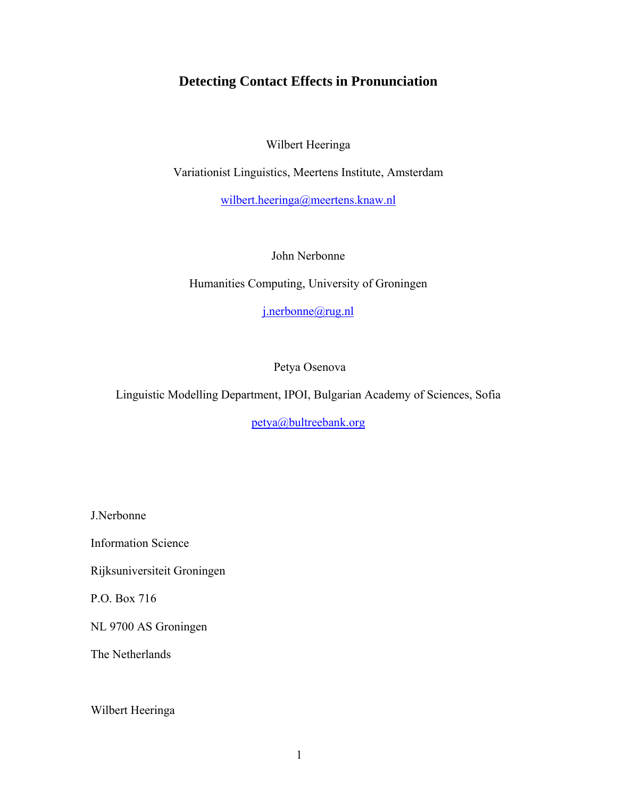# **Detecting Contact Effects in Pronunciation**

Wilbert Heeringa

Variationist Linguistics, Meertens Institute, Amsterdam

[wilbert.heeringa@meertens.knaw.nl](mailto:wilbert.heeringa@meertens.knaw.nl)

John Nerbonne

Humanities Computing, University of Groningen

[j.nerbonne@rug.nl](mailto:j.nerbonne@rug.nl)

Petya Osenova

Linguistic Modelling Department, IPOI, Bulgarian Academy of Sciences, Sofia

[petya@bultreebank.org](mailto:petya@bultreebank.org)

J.Nerbonne

Information Science

Rijksuniversiteit Groningen

P.O. Box 716

NL 9700 AS Groningen

The Netherlands

Wilbert Heeringa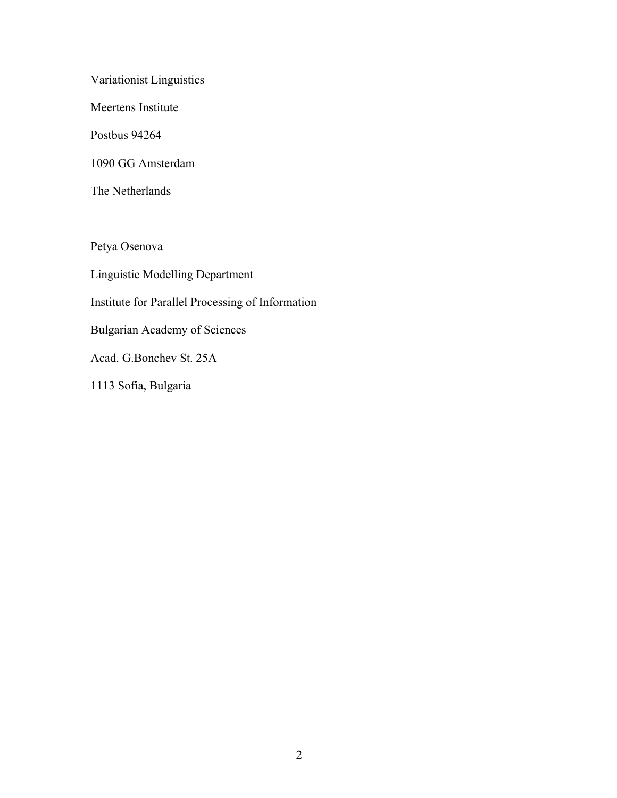Variationist Linguistics

Meertens Institute

Postbus 94264

1090 GG Amsterdam

The Netherlands

Petya Osenova Linguistic Modelling Department Institute for Parallel Processing of Information Bulgarian Academy of Sciences Acad. G.Bonchev St. 25A 1113 Sofia, Bulgaria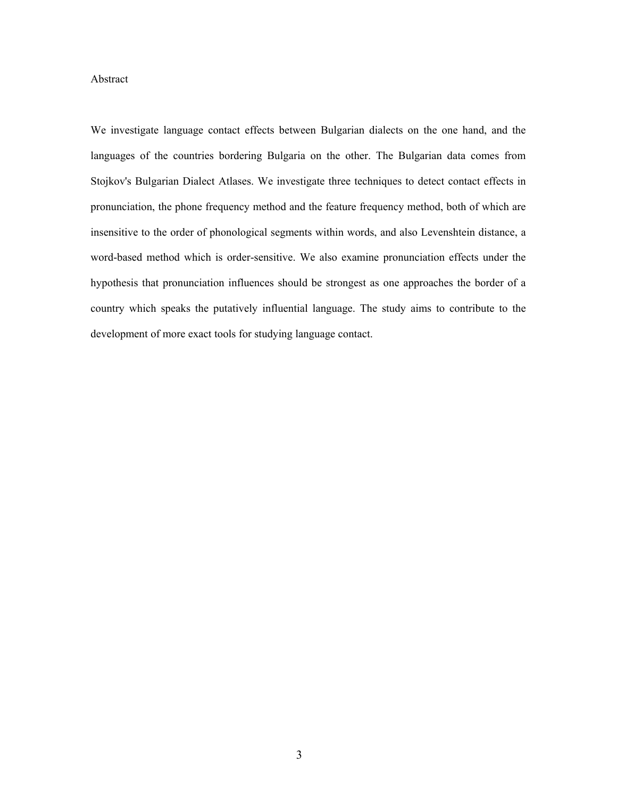# Abstract

We investigate language contact effects between Bulgarian dialects on the one hand, and the languages of the countries bordering Bulgaria on the other. The Bulgarian data comes from Stojkov's Bulgarian Dialect Atlases. We investigate three techniques to detect contact effects in pronunciation, the phone frequency method and the feature frequency method, both of which are insensitive to the order of phonological segments within words, and also Levenshtein distance, a word-based method which is order-sensitive. We also examine pronunciation effects under the hypothesis that pronunciation influences should be strongest as one approaches the border of a country which speaks the putatively influential language. The study aims to contribute to the development of more exact tools for studying language contact.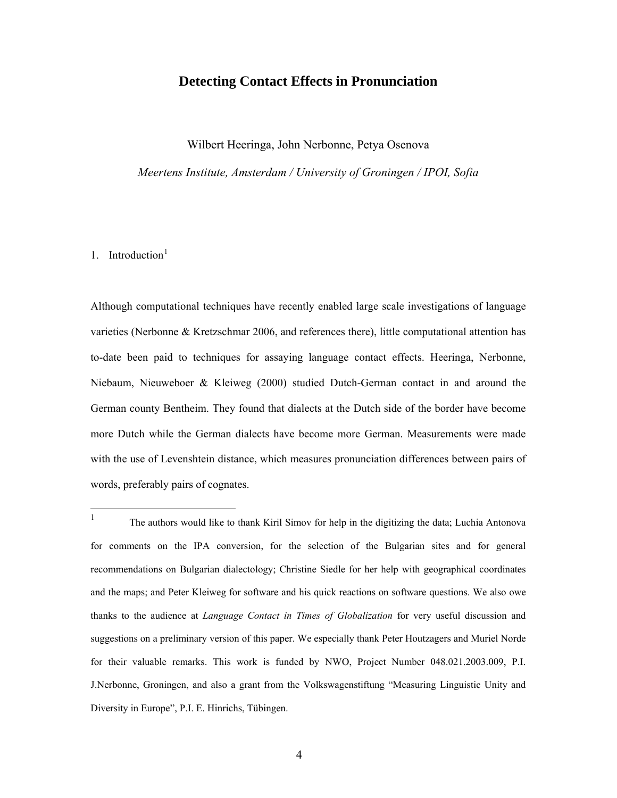# **Detecting Contact Effects in Pronunciation**

# Wilbert Heeringa, John Nerbonne, Petya Osenova

*Meertens Institute, Amsterdam / University of Groningen / IPOI, Sofia* 

# [1](#page-3-0). Introduction $<sup>1</sup>$ </sup>

Although computational techniques have recently enabled large scale investigations of language varieties (Nerbonne & Kretzschmar 2006, and references there), little computational attention has to-date been paid to techniques for assaying language contact effects. Heeringa, Nerbonne, Niebaum, Nieuweboer & Kleiweg (2000) studied Dutch-German contact in and around the German county Bentheim. They found that dialects at the Dutch side of the border have become more Dutch while the German dialects have become more German. Measurements were made with the use of Levenshtein distance, which measures pronunciation differences between pairs of words, preferably pairs of cognates.

<span id="page-3-0"></span> $\frac{1}{1}$  The authors would like to thank Kiril Simov for help in the digitizing the data; Luchia Antonova for comments on the IPA conversion, for the selection of the Bulgarian sites and for general recommendations on Bulgarian dialectology; Christine Siedle for her help with geographical coordinates and the maps; and Peter Kleiweg for software and his quick reactions on software questions. We also owe thanks to the audience at *Language Contact in Times of Globalization* for very useful discussion and suggestions on a preliminary version of this paper. We especially thank Peter Houtzagers and Muriel Norde for their valuable remarks. This work is funded by NWO, Project Number 048.021.2003.009, P.I. J.Nerbonne, Groningen, and also a grant from the Volkswagenstiftung "Measuring Linguistic Unity and Diversity in Europe", P.I. E. Hinrichs, Tübingen.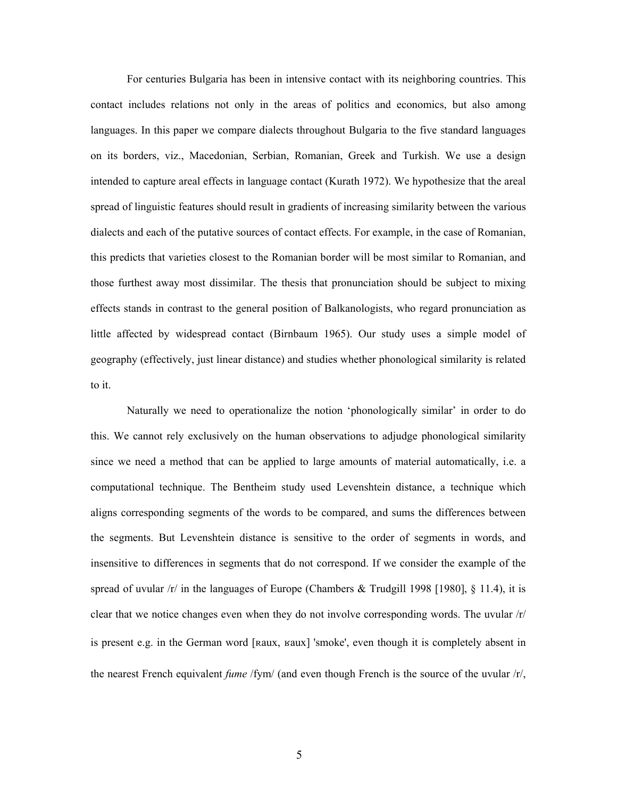For centuries Bulgaria has been in intensive contact with its neighboring countries. This contact includes relations not only in the areas of politics and economics, but also among languages. In this paper we compare dialects throughout Bulgaria to the five standard languages on its borders, viz., Macedonian, Serbian, Romanian, Greek and Turkish. We use a design intended to capture areal effects in language contact (Kurath 1972). We hypothesize that the areal spread of linguistic features should result in gradients of increasing similarity between the various dialects and each of the putative sources of contact effects. For example, in the case of Romanian, this predicts that varieties closest to the Romanian border will be most similar to Romanian, and those furthest away most dissimilar. The thesis that pronunciation should be subject to mixing effects stands in contrast to the general position of Balkanologists, who regard pronunciation as little affected by widespread contact (Birnbaum 1965). Our study uses a simple model of geography (effectively, just linear distance) and studies whether phonological similarity is related to it.

Naturally we need to operationalize the notion 'phonologically similar' in order to do this. We cannot rely exclusively on the human observations to adjudge phonological similarity since we need a method that can be applied to large amounts of material automatically, i.e. a computational technique. The Bentheim study used Levenshtein distance, a technique which aligns corresponding segments of the words to be compared, and sums the differences between the segments. But Levenshtein distance is sensitive to the order of segments in words, and insensitive to differences in segments that do not correspond. If we consider the example of the spread of uvular  $/r/$  in the languages of Europe (Chambers & Trudgill 1998 [1980], § 11.4), it is clear that we notice changes even when they do not involve corresponding words. The uvular /r/ is present e.g. in the German word [ʀaux, ʁaux] 'smoke', even though it is completely absent in the nearest French equivalent *fume* /fym/ (and even though French is the source of the uvular /r/,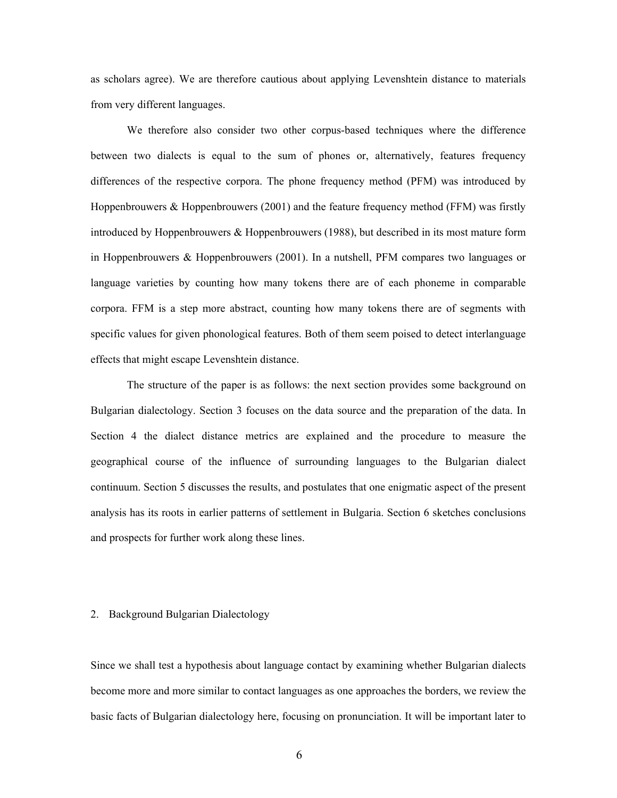as scholars agree). We are therefore cautious about applying Levenshtein distance to materials from very different languages.

We therefore also consider two other corpus-based techniques where the difference between two dialects is equal to the sum of phones or, alternatively, features frequency differences of the respective corpora. The phone frequency method (PFM) was introduced by Hoppenbrouwers & Hoppenbrouwers (2001) and the feature frequency method (FFM) was firstly introduced by Hoppenbrouwers & Hoppenbrouwers (1988), but described in its most mature form in Hoppenbrouwers & Hoppenbrouwers (2001). In a nutshell, PFM compares two languages or language varieties by counting how many tokens there are of each phoneme in comparable corpora. FFM is a step more abstract, counting how many tokens there are of segments with specific values for given phonological features. Both of them seem poised to detect interlanguage effects that might escape Levenshtein distance.

The structure of the paper is as follows: the next section provides some background on Bulgarian dialectology. Section 3 focuses on the data source and the preparation of the data. In Section 4 the dialect distance metrics are explained and the procedure to measure the geographical course of the influence of surrounding languages to the Bulgarian dialect continuum. Section 5 discusses the results, and postulates that one enigmatic aspect of the present analysis has its roots in earlier patterns of settlement in Bulgaria. Section 6 sketches conclusions and prospects for further work along these lines.

# 2. Background Bulgarian Dialectology

Since we shall test a hypothesis about language contact by examining whether Bulgarian dialects become more and more similar to contact languages as one approaches the borders, we review the basic facts of Bulgarian dialectology here, focusing on pronunciation. It will be important later to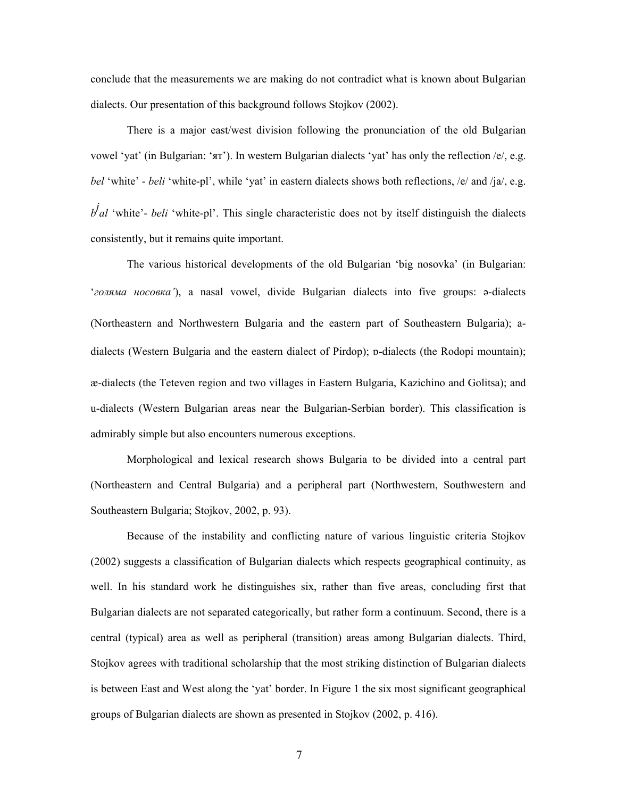conclude that the measurements we are making do not contradict what is known about Bulgarian dialects. Our presentation of this background follows Stojkov (2002).

There is a major east/west division following the pronunciation of the old Bulgarian vowel 'yat' (in Bulgarian: 'ят'). In western Bulgarian dialects 'yat' has only the reflection /e/, e.g. *bel* 'white' - *beli* 'white-pl', while 'yat' in eastern dialects shows both reflections, /e/ and /ja/, e.g.  $b^j$ al 'white'- *beli* 'white-pl'. This single characteristic does not by itself distinguish the dialects consistently, but it remains quite important.

The various historical developments of the old Bulgarian 'big nosovka' (in Bulgarian: '*голяма носовка'*), a nasal vowel, divide Bulgarian dialects into five groups: ə-dialects (Northeastern and Northwestern Bulgaria and the eastern part of Southeastern Bulgaria); adialects (Western Bulgaria and the eastern dialect of Pirdop); ɒ-dialects (the Rodopi mountain); æ-dialects (the Teteven region and two villages in Eastern Bulgaria, Kazichino and Golitsa); and u-dialects (Western Bulgarian areas near the Bulgarian-Serbian border). This classification is admirably simple but also encounters numerous exceptions.

Morphological and lexical research shows Bulgaria to be divided into a central part (Northeastern and Central Bulgaria) and a peripheral part (Northwestern, Southwestern and Southeastern Bulgaria; Stojkov, 2002, p. 93).

Because of the instability and conflicting nature of various linguistic criteria Stojkov (2002) suggests a classification of Bulgarian dialects which respects geographical continuity, as well. In his standard work he distinguishes six, rather than five areas, concluding first that Bulgarian dialects are not separated categorically, but rather form a continuum. Second, there is a central (typical) area as well as peripheral (transition) areas among Bulgarian dialects. Third, Stojkov agrees with traditional scholarship that the most striking distinction of Bulgarian dialects is between East and West along the 'yat' border. In Figure 1 the six most significant geographical groups of Bulgarian dialects are shown as presented in Stojkov (2002, p. 416).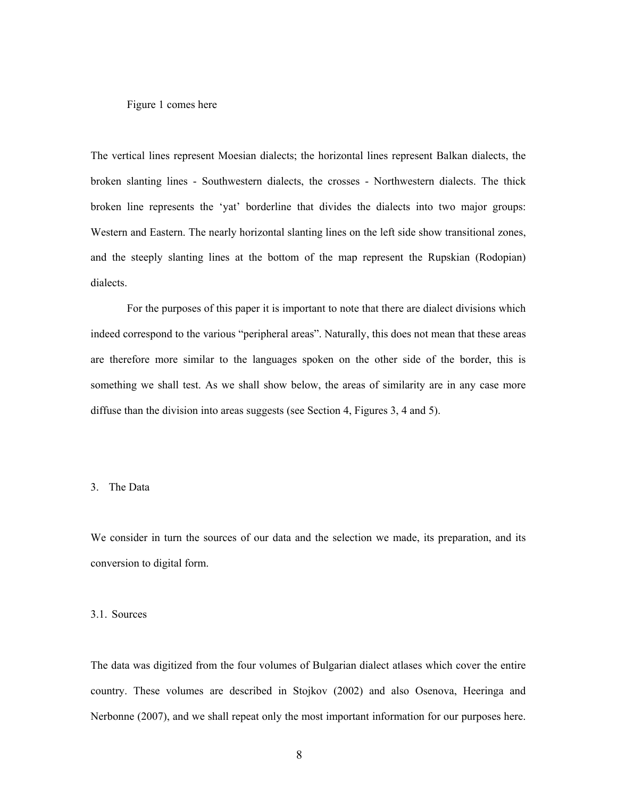### Figure 1 comes here

The vertical lines represent Moesian dialects; the horizontal lines represent Balkan dialects, the broken slanting lines - Southwestern dialects, the crosses - Northwestern dialects. The thick broken line represents the 'yat' borderline that divides the dialects into two major groups: Western and Eastern. The nearly horizontal slanting lines on the left side show transitional zones, and the steeply slanting lines at the bottom of the map represent the Rupskian (Rodopian) dialects.

 For the purposes of this paper it is important to note that there are dialect divisions which indeed correspond to the various "peripheral areas". Naturally, this does not mean that these areas are therefore more similar to the languages spoken on the other side of the border, this is something we shall test. As we shall show below, the areas of similarity are in any case more diffuse than the division into areas suggests (see Section 4, Figures 3, 4 and 5).

### 3. The Data

We consider in turn the sources of our data and the selection we made, its preparation, and its conversion to digital form.

# 3.1. Sources

The data was digitized from the four volumes of Bulgarian dialect atlases which cover the entire country. These volumes are described in Stojkov (2002) and also Osenova, Heeringa and Nerbonne (2007), and we shall repeat only the most important information for our purposes here.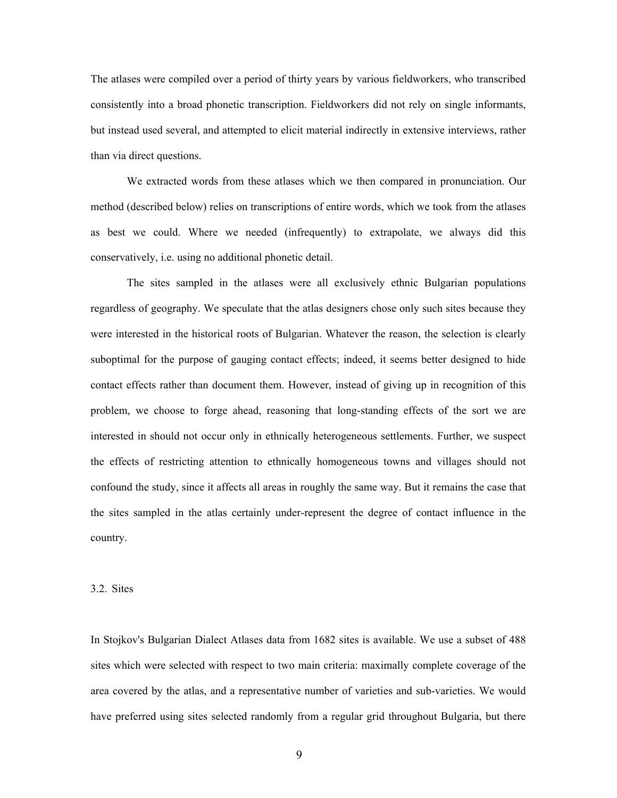The atlases were compiled over a period of thirty years by various fieldworkers, who transcribed consistently into a broad phonetic transcription. Fieldworkers did not rely on single informants, but instead used several, and attempted to elicit material indirectly in extensive interviews, rather than via direct questions.

We extracted words from these atlases which we then compared in pronunciation. Our method (described below) relies on transcriptions of entire words, which we took from the atlases as best we could. Where we needed (infrequently) to extrapolate, we always did this conservatively, i.e. using no additional phonetic detail.

The sites sampled in the atlases were all exclusively ethnic Bulgarian populations regardless of geography. We speculate that the atlas designers chose only such sites because they were interested in the historical roots of Bulgarian. Whatever the reason, the selection is clearly suboptimal for the purpose of gauging contact effects; indeed, it seems better designed to hide contact effects rather than document them. However, instead of giving up in recognition of this problem, we choose to forge ahead, reasoning that long-standing effects of the sort we are interested in should not occur only in ethnically heterogeneous settlements. Further, we suspect the effects of restricting attention to ethnically homogeneous towns and villages should not confound the study, since it affects all areas in roughly the same way. But it remains the case that the sites sampled in the atlas certainly under-represent the degree of contact influence in the country.

# 3.2. Sites

In Stojkov's Bulgarian Dialect Atlases data from 1682 sites is available. We use a subset of 488 sites which were selected with respect to two main criteria: maximally complete coverage of the area covered by the atlas, and a representative number of varieties and sub-varieties. We would have preferred using sites selected randomly from a regular grid throughout Bulgaria, but there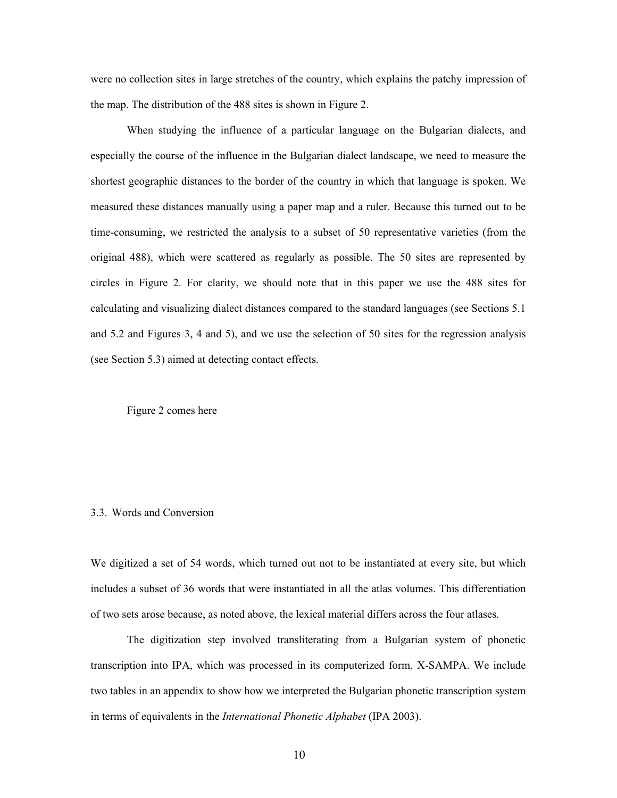were no collection sites in large stretches of the country, which explains the patchy impression of the map. The distribution of the 488 sites is shown in Figure 2.

When studying the influence of a particular language on the Bulgarian dialects, and especially the course of the influence in the Bulgarian dialect landscape, we need to measure the shortest geographic distances to the border of the country in which that language is spoken. We measured these distances manually using a paper map and a ruler. Because this turned out to be time-consuming, we restricted the analysis to a subset of 50 representative varieties (from the original 488), which were scattered as regularly as possible. The 50 sites are represented by circles in Figure 2. For clarity, we should note that in this paper we use the 488 sites for calculating and visualizing dialect distances compared to the standard languages (see Sections 5.1 and 5.2 and Figures 3, 4 and 5), and we use the selection of 50 sites for the regression analysis (see Section 5.3) aimed at detecting contact effects.

Figure 2 comes here

### 3.3. Words and Conversion

We digitized a set of 54 words, which turned out not to be instantiated at every site, but which includes a subset of 36 words that were instantiated in all the atlas volumes. This differentiation of two sets arose because, as noted above, the lexical material differs across the four atlases.

The digitization step involved transliterating from a Bulgarian system of phonetic transcription into IPA, which was processed in its computerized form, X-SAMPA. We include two tables in an appendix to show how we interpreted the Bulgarian phonetic transcription system in terms of equivalents in the *International Phonetic Alphabet* (IPA 2003).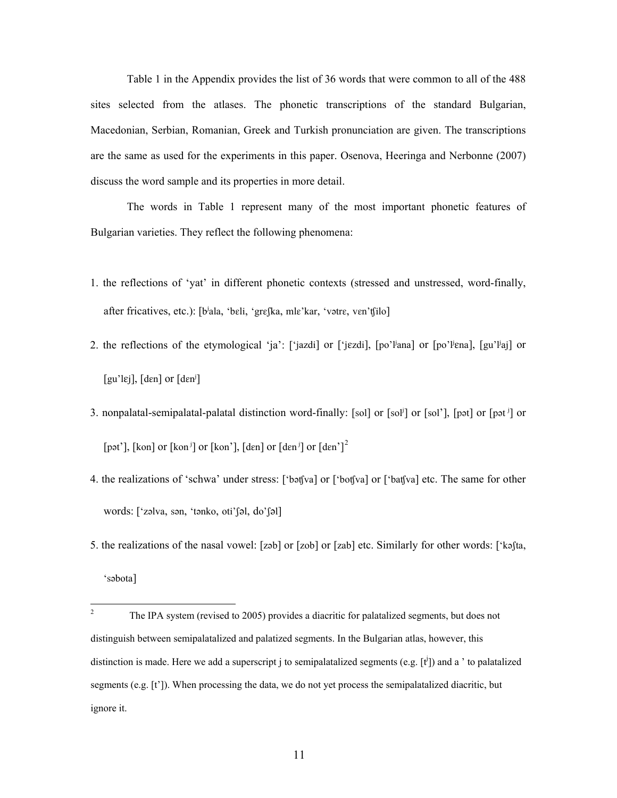Table 1 in the Appendix provides the list of 36 words that were common to all of the 488 sites selected from the atlases. The phonetic transcriptions of the standard Bulgarian, Macedonian, Serbian, Romanian, Greek and Turkish pronunciation are given. The transcriptions are the same as used for the experiments in this paper. Osenova, Heeringa and Nerbonne (2007) discuss the word sample and its properties in more detail.

The words in Table 1 represent many of the most important phonetic features of Bulgarian varieties. They reflect the following phenomena:

- 1. the reflections of 'yat' in different phonetic contexts (stressed and unstressed, word-finally, after fricatives, etc.): [b<sup>i</sup>ala, 'bɛli, 'grɛʃka, mlɛ'kar, 'vətrɛ, vɛn'tʃilo]
- 2. the reflections of the etymological 'ja': ['jazdi] or ['jɛzdi], [po'llana] or [po'llena], [gu'llaj] or [gu'lɛj], [dɛn] or [dɛnj ]
- 3. nonpalatal-semipalatal-palatal distinction word-finally: [sol] or [sol<sup>j</sup>] or [sol'], [pət] or [pət<sup>i</sup>] or [pət'], [kon] or [kon<sup>i</sup>] or [kon'], [dɛn] or [dɛn<sup>i</sup>] or [dɛn']<sup>[2](#page-10-0)</sup>
- 4. the realizations of 'schwa' under stress: ['bəʧva] or ['boʧva] or ['baʧva] etc. The same for other words: ['zəlva, sən, 'tənko, oti'ʃəl, do'ʃəl]
- 5. the realizations of the nasal vowel: [zəb] or [zob] or [zab] etc. Similarly for other words: ['kəʃta, 'səbota]

<span id="page-10-0"></span> $\frac{1}{2}$  The IPA system (revised to 2005) provides a diacritic for palatalized segments, but does not distinguish between semipalatalized and palatized segments. In the Bulgarian atlas, however, this distinction is made. Here we add a superscript j to semipalatalized segments (e.g.  $[t^i]$ ) and a ' to palatalized segments (e.g. [t']). When processing the data, we do not yet process the semipalatalized diacritic, but ignore it.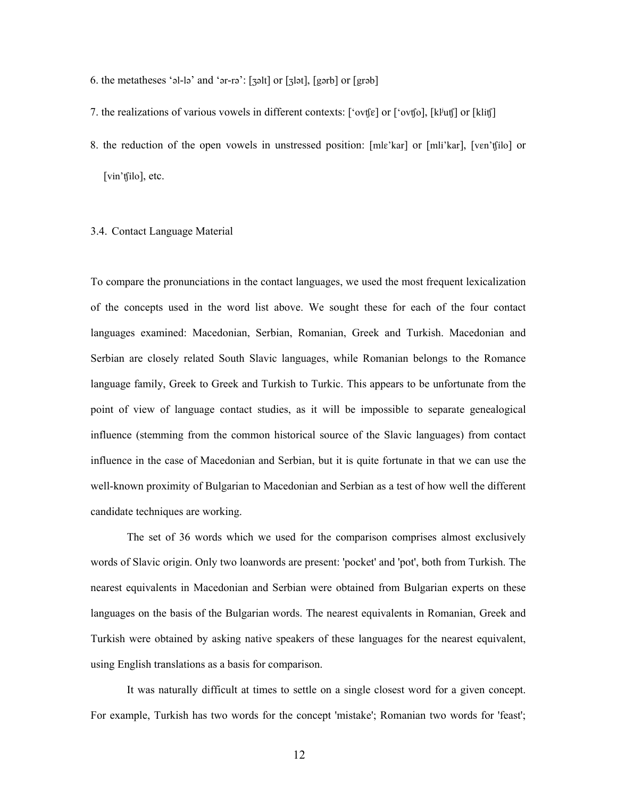- 6. the metatheses 'əl-lə' and 'ər-rə': [ʒəlt] or [ʒlət], [gərb] or [grəb]
- 7. the realizations of various vowels in different contexts: ['ovtʃɛ] or ['ovtʃo], [kl<sup>j</sup>utʃ] or [klitʃ]
- 8. the reduction of the open vowels in unstressed position: [mlɛ'kar] or [mli'kar], [vɛn'ʧilo] or [vin'tʃilo], etc.
- 3.4. Contact Language Material

To compare the pronunciations in the contact languages, we used the most frequent lexicalization of the concepts used in the word list above. We sought these for each of the four contact languages examined: Macedonian, Serbian, Romanian, Greek and Turkish. Macedonian and Serbian are closely related South Slavic languages, while Romanian belongs to the Romance language family, Greek to Greek and Turkish to Turkic. This appears to be unfortunate from the point of view of language contact studies, as it will be impossible to separate genealogical influence (stemming from the common historical source of the Slavic languages) from contact influence in the case of Macedonian and Serbian, but it is quite fortunate in that we can use the well-known proximity of Bulgarian to Macedonian and Serbian as a test of how well the different candidate techniques are working.

The set of 36 words which we used for the comparison comprises almost exclusively words of Slavic origin. Only two loanwords are present: 'pocket' and 'pot', both from Turkish. The nearest equivalents in Macedonian and Serbian were obtained from Bulgarian experts on these languages on the basis of the Bulgarian words. The nearest equivalents in Romanian, Greek and Turkish were obtained by asking native speakers of these languages for the nearest equivalent, using English translations as a basis for comparison.

It was naturally difficult at times to settle on a single closest word for a given concept. For example, Turkish has two words for the concept 'mistake'; Romanian two words for 'feast';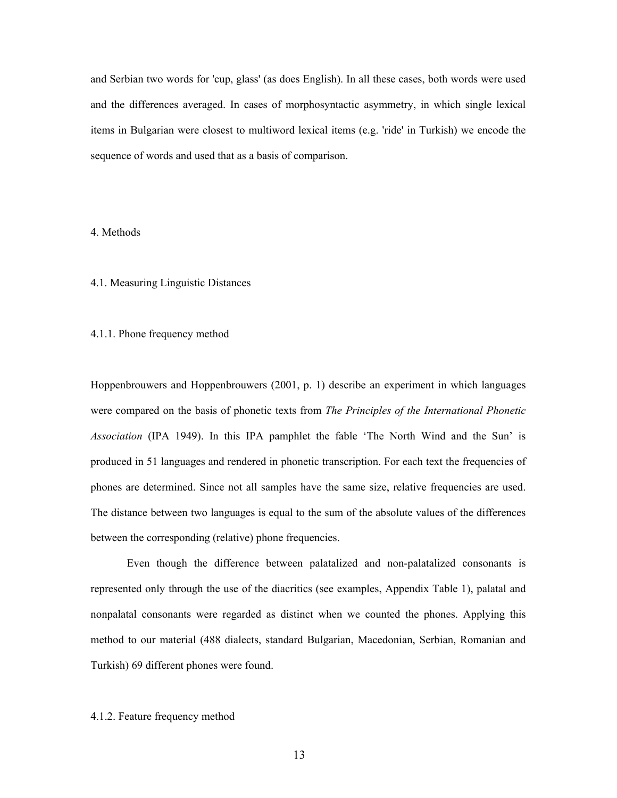and Serbian two words for 'cup, glass' (as does English). In all these cases, both words were used and the differences averaged. In cases of morphosyntactic asymmetry, in which single lexical items in Bulgarian were closest to multiword lexical items (e.g. 'ride' in Turkish) we encode the sequence of words and used that as a basis of comparison.

# 4. Methods

# 4.1. Measuring Linguistic Distances

# 4.1.1. Phone frequency method

Hoppenbrouwers and Hoppenbrouwers (2001, p. 1) describe an experiment in which languages were compared on the basis of phonetic texts from *The Principles of the International Phonetic Association* (IPA 1949). In this IPA pamphlet the fable 'The North Wind and the Sun' is produced in 51 languages and rendered in phonetic transcription. For each text the frequencies of phones are determined. Since not all samples have the same size, relative frequencies are used. The distance between two languages is equal to the sum of the absolute values of the differences between the corresponding (relative) phone frequencies.

Even though the difference between palatalized and non-palatalized consonants is represented only through the use of the diacritics (see examples, Appendix Table 1), palatal and nonpalatal consonants were regarded as distinct when we counted the phones. Applying this method to our material (488 dialects, standard Bulgarian, Macedonian, Serbian, Romanian and Turkish) 69 different phones were found.

# 4.1.2. Feature frequency method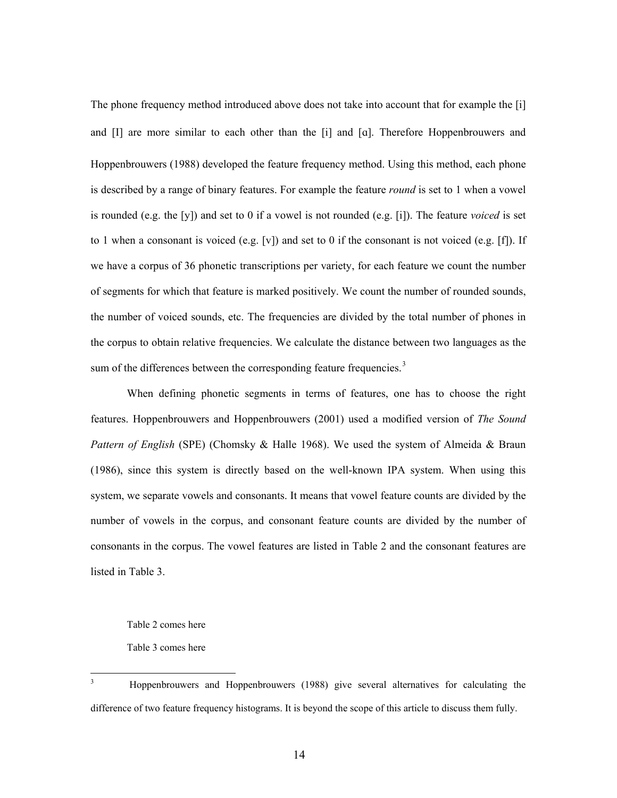The phone frequency method introduced above does not take into account that for example the [i] and [I] are more similar to each other than the [i] and [ɑ]. Therefore Hoppenbrouwers and Hoppenbrouwers (1988) developed the feature frequency method. Using this method, each phone is described by a range of binary features. For example the feature *round* is set to 1 when a vowel is rounded (e.g. the [y]) and set to 0 if a vowel is not rounded (e.g. [i]). The feature *voiced* is set to 1 when a consonant is voiced (e.g. [v]) and set to 0 if the consonant is not voiced (e.g. [f]). If we have a corpus of 36 phonetic transcriptions per variety, for each feature we count the number of segments for which that feature is marked positively. We count the number of rounded sounds, the number of voiced sounds, etc. The frequencies are divided by the total number of phones in the corpus to obtain relative frequencies. We calculate the distance between two languages as the sum of the differences between the corresponding feature frequencies. $3$ 

When defining phonetic segments in terms of features, one has to choose the right features. Hoppenbrouwers and Hoppenbrouwers (2001) used a modified version of *The Sound Pattern of English* (SPE) (Chomsky & Halle 1968). We used the system of Almeida & Braun (1986), since this system is directly based on the well-known IPA system. When using this system, we separate vowels and consonants. It means that vowel feature counts are divided by the number of vowels in the corpus, and consonant feature counts are divided by the number of consonants in the corpus. The vowel features are listed in Table 2 and the consonant features are listed in Table 3.

Table 2 comes here

Table 3 comes here

<span id="page-13-0"></span><sup>&</sup>lt;sup>3</sup> Hoppenbrouwers and Hoppenbrouwers (1988) give several alternatives for calculating the difference of two feature frequency histograms. It is beyond the scope of this article to discuss them fully.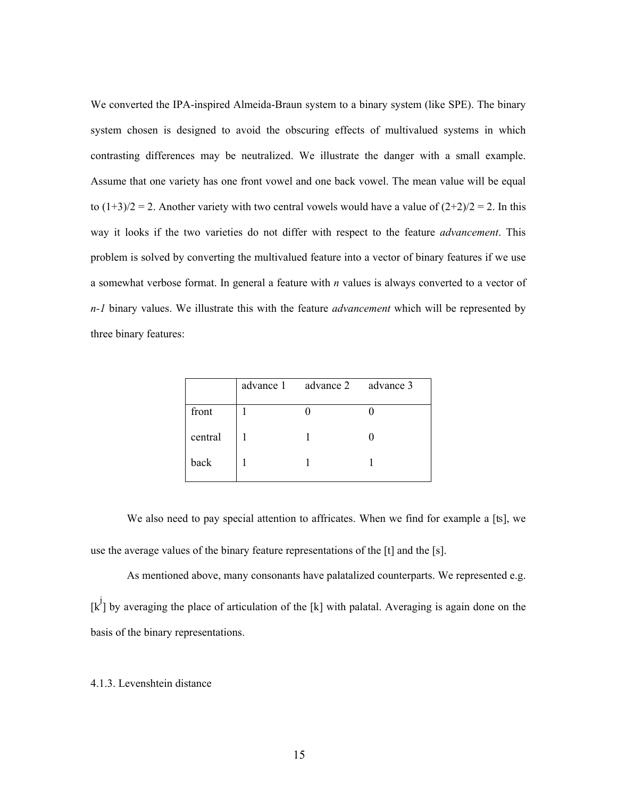We converted the IPA-inspired Almeida-Braun system to a binary system (like SPE). The binary system chosen is designed to avoid the obscuring effects of multivalued systems in which contrasting differences may be neutralized. We illustrate the danger with a small example. Assume that one variety has one front vowel and one back vowel. The mean value will be equal to  $(1+3)/2 = 2$ . Another variety with two central vowels would have a value of  $(2+2)/2 = 2$ . In this way it looks if the two varieties do not differ with respect to the feature *advancement*. This problem is solved by converting the multivalued feature into a vector of binary features if we use a somewhat verbose format. In general a feature with *n* values is always converted to a vector of *n-1* binary values. We illustrate this with the feature *advancement* which will be represented by three binary features:

|         | advance 1 advance 2 advance 3 |  |
|---------|-------------------------------|--|
| front   |                               |  |
| central |                               |  |
| back    |                               |  |

We also need to pay special attention to affricates. When we find for example a [ts], we use the average values of the binary feature representations of the [t] and the [s].

As mentioned above, many consonants have palatalized counterparts. We represented e.g.  $[k]$  by averaging the place of articulation of the [k] with palatal. Averaging is again done on the basis of the binary representations.

4.1.3. Levenshtein distance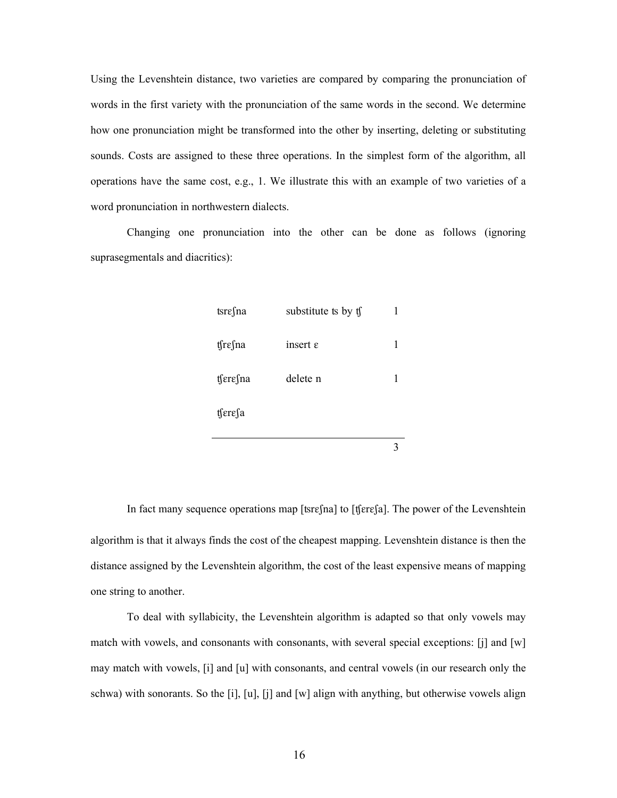Using the Levenshtein distance, two varieties are compared by comparing the pronunciation of words in the first variety with the pronunciation of the same words in the second. We determine how one pronunciation might be transformed into the other by inserting, deleting or substituting sounds. Costs are assigned to these three operations. In the simplest form of the algorithm, all operations have the same cost, e.g., 1. We illustrate this with an example of two varieties of a word pronunciation in northwestern dialects.

Changing one pronunciation into the other can be done as follows (ignoring suprasegmentals and diacritics):



In fact many sequence operations map [tsrɛʃna] to [tʃɛrɛʃa]. The power of the Levenshtein algorithm is that it always finds the cost of the cheapest mapping. Levenshtein distance is then the distance assigned by the Levenshtein algorithm, the cost of the least expensive means of mapping one string to another.

To deal with syllabicity, the Levenshtein algorithm is adapted so that only vowels may match with vowels, and consonants with consonants, with several special exceptions: [j] and [w] may match with vowels, [i] and [u] with consonants, and central vowels (in our research only the schwa) with sonorants. So the [i], [u], [j] and [w] align with anything, but otherwise vowels align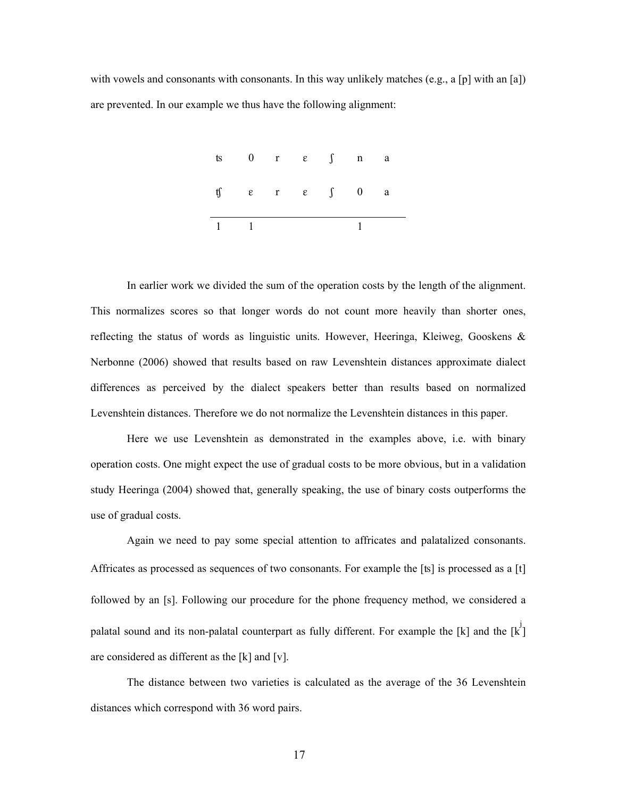with vowels and consonants with consonants. In this way unlikely matches (e.g., a [p] with an [a]) are prevented. In our example we thus have the following alignment:

> ts  $0$  r  $\varepsilon$   $\int$  n a ʧ ɛ r ɛ ʃ 0 a 1 1 1

In earlier work we divided the sum of the operation costs by the length of the alignment. This normalizes scores so that longer words do not count more heavily than shorter ones, reflecting the status of words as linguistic units. However, Heeringa, Kleiweg, Gooskens  $\&$ Nerbonne (2006) showed that results based on raw Levenshtein distances approximate dialect differences as perceived by the dialect speakers better than results based on normalized Levenshtein distances. Therefore we do not normalize the Levenshtein distances in this paper.

Here we use Levenshtein as demonstrated in the examples above, i.e. with binary operation costs. One might expect the use of gradual costs to be more obvious, but in a validation study Heeringa (2004) showed that, generally speaking, the use of binary costs outperforms the use of gradual costs.

Again we need to pay some special attention to affricates and palatalized consonants. Affricates as processed as sequences of two consonants. For example the [ʦ] is processed as a [t] followed by an [s]. Following our procedure for the phone frequency method, we considered a palatal sound and its non-palatal counterpart as fully different. For example the [k] and the [k] are considered as different as the [k] and [v].

The distance between two varieties is calculated as the average of the 36 Levenshtein distances which correspond with 36 word pairs.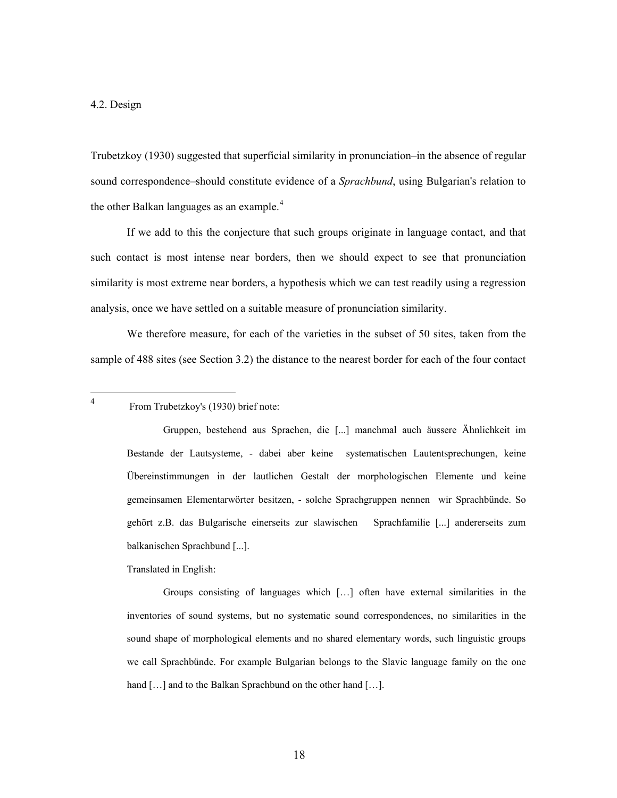<span id="page-17-0"></span> $\frac{1}{4}$ 

Trubetzkoy (1930) suggested that superficial similarity in pronunciation–in the absence of regular sound correspondence–should constitute evidence of a *Sprachbund*, using Bulgarian's relation to the other Balkan languages as an example.<sup>[4](#page-17-0)</sup>

If we add to this the conjecture that such groups originate in language contact, and that such contact is most intense near borders, then we should expect to see that pronunciation similarity is most extreme near borders, a hypothesis which we can test readily using a regression analysis, once we have settled on a suitable measure of pronunciation similarity.

We therefore measure, for each of the varieties in the subset of 50 sites, taken from the sample of 488 sites (see Section 3.2) the distance to the nearest border for each of the four contact

#### From Trubetzkoy's (1930) brief note:

 Gruppen, bestehend aus Sprachen, die [...] manchmal auch äussere Ähnlichkeit im Bestande der Lautsysteme, - dabei aber keine systematischen Lautentsprechungen, keine Übereinstimmungen in der lautlichen Gestalt der morphologischen Elemente und keine gemeinsamen Elementarwörter besitzen, - solche Sprachgruppen nennen wir Sprachbünde. So gehört z.B. das Bulgarische einerseits zur slawischen Sprachfamilie [...] andererseits zum balkanischen Sprachbund [...].

Translated in English:

Groups consisting of languages which […] often have external similarities in the inventories of sound systems, but no systematic sound correspondences, no similarities in the sound shape of morphological elements and no shared elementary words, such linguistic groups we call Sprachbünde. For example Bulgarian belongs to the Slavic language family on the one hand [...] and to the Balkan Sprachbund on the other hand [...].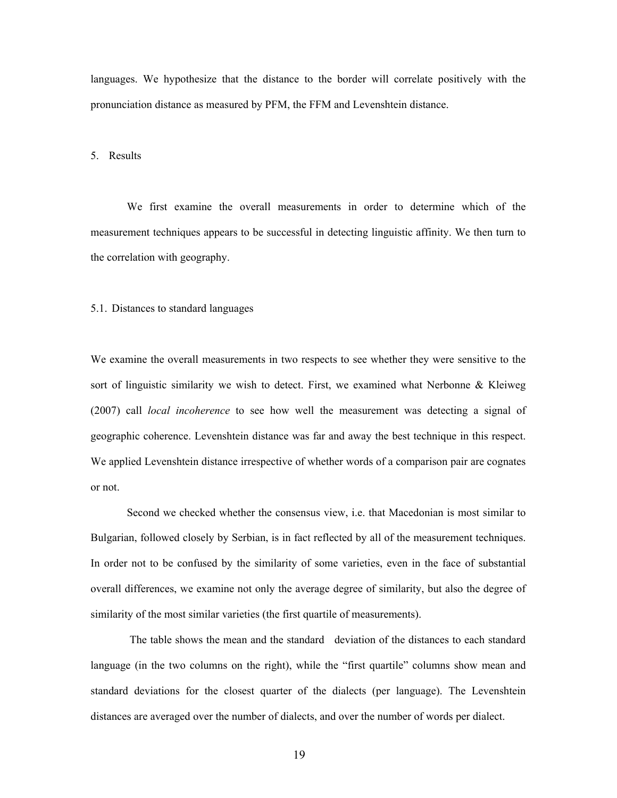languages. We hypothesize that the distance to the border will correlate positively with the pronunciation distance as measured by PFM, the FFM and Levenshtein distance.

5. Results

We first examine the overall measurements in order to determine which of the measurement techniques appears to be successful in detecting linguistic affinity. We then turn to the correlation with geography.

### 5.1. Distances to standard languages

We examine the overall measurements in two respects to see whether they were sensitive to the sort of linguistic similarity we wish to detect. First, we examined what Nerbonne & Kleiweg (2007) call *local incoherence* to see how well the measurement was detecting a signal of geographic coherence. Levenshtein distance was far and away the best technique in this respect. We applied Levenshtein distance irrespective of whether words of a comparison pair are cognates or not.

Second we checked whether the consensus view, i.e. that Macedonian is most similar to Bulgarian, followed closely by Serbian, is in fact reflected by all of the measurement techniques. In order not to be confused by the similarity of some varieties, even in the face of substantial overall differences, we examine not only the average degree of similarity, but also the degree of similarity of the most similar varieties (the first quartile of measurements).

 The table shows the mean and the standard deviation of the distances to each standard language (in the two columns on the right), while the "first quartile" columns show mean and standard deviations for the closest quarter of the dialects (per language). The Levenshtein distances are averaged over the number of dialects, and over the number of words per dialect.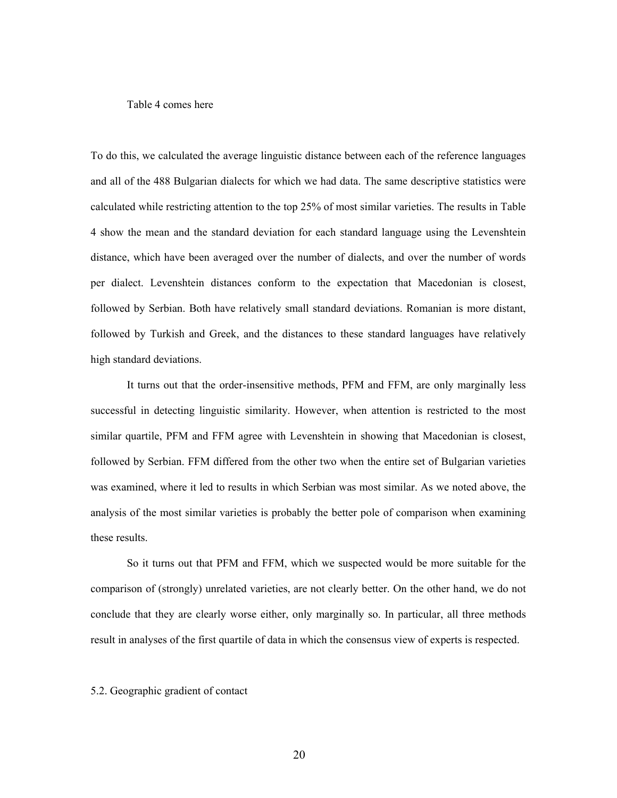Table 4 comes here

To do this, we calculated the average linguistic distance between each of the reference languages and all of the 488 Bulgarian dialects for which we had data. The same descriptive statistics were calculated while restricting attention to the top 25% of most similar varieties. The results in Table 4 show the mean and the standard deviation for each standard language using the Levenshtein distance, which have been averaged over the number of dialects, and over the number of words per dialect. Levenshtein distances conform to the expectation that Macedonian is closest, followed by Serbian. Both have relatively small standard deviations. Romanian is more distant, followed by Turkish and Greek, and the distances to these standard languages have relatively high standard deviations.

It turns out that the order-insensitive methods, PFM and FFM, are only marginally less successful in detecting linguistic similarity. However, when attention is restricted to the most similar quartile, PFM and FFM agree with Levenshtein in showing that Macedonian is closest, followed by Serbian. FFM differed from the other two when the entire set of Bulgarian varieties was examined, where it led to results in which Serbian was most similar. As we noted above, the analysis of the most similar varieties is probably the better pole of comparison when examining these results.

So it turns out that PFM and FFM, which we suspected would be more suitable for the comparison of (strongly) unrelated varieties, are not clearly better. On the other hand, we do not conclude that they are clearly worse either, only marginally so. In particular, all three methods result in analyses of the first quartile of data in which the consensus view of experts is respected.

# 5.2. Geographic gradient of contact

20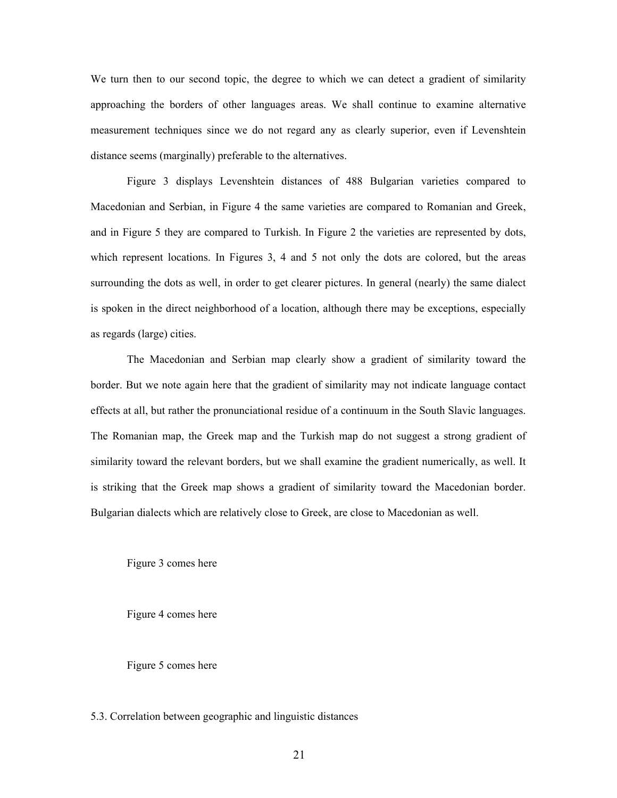We turn then to our second topic, the degree to which we can detect a gradient of similarity approaching the borders of other languages areas. We shall continue to examine alternative measurement techniques since we do not regard any as clearly superior, even if Levenshtein distance seems (marginally) preferable to the alternatives.

Figure 3 displays Levenshtein distances of 488 Bulgarian varieties compared to Macedonian and Serbian, in Figure 4 the same varieties are compared to Romanian and Greek, and in Figure 5 they are compared to Turkish. In Figure 2 the varieties are represented by dots, which represent locations. In Figures 3, 4 and 5 not only the dots are colored, but the areas surrounding the dots as well, in order to get clearer pictures. In general (nearly) the same dialect is spoken in the direct neighborhood of a location, although there may be exceptions, especially as regards (large) cities.

The Macedonian and Serbian map clearly show a gradient of similarity toward the border. But we note again here that the gradient of similarity may not indicate language contact effects at all, but rather the pronunciational residue of a continuum in the South Slavic languages. The Romanian map, the Greek map and the Turkish map do not suggest a strong gradient of similarity toward the relevant borders, but we shall examine the gradient numerically, as well. It is striking that the Greek map shows a gradient of similarity toward the Macedonian border. Bulgarian dialects which are relatively close to Greek, are close to Macedonian as well.

Figure 3 comes here

Figure 4 comes here

Figure 5 comes here

### 5.3. Correlation between geographic and linguistic distances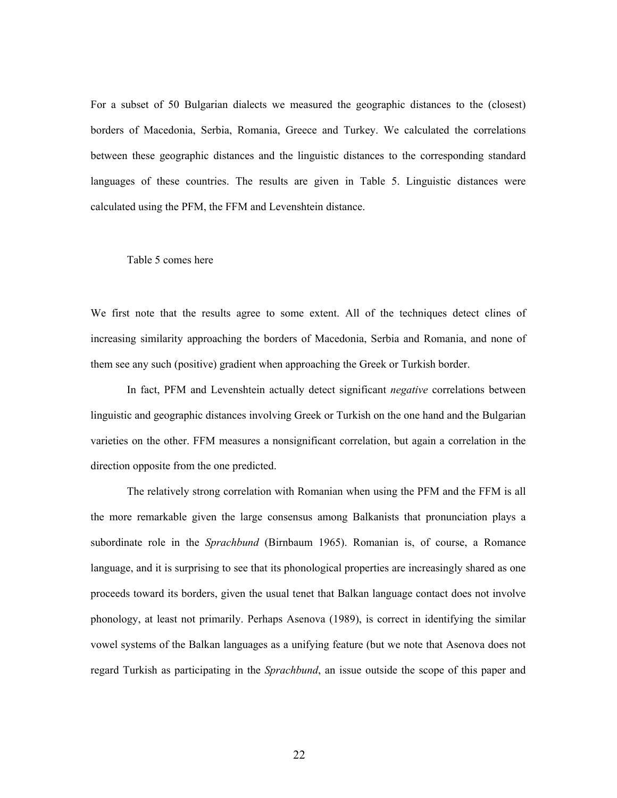For a subset of 50 Bulgarian dialects we measured the geographic distances to the (closest) borders of Macedonia, Serbia, Romania, Greece and Turkey. We calculated the correlations between these geographic distances and the linguistic distances to the corresponding standard languages of these countries. The results are given in Table 5. Linguistic distances were calculated using the PFM, the FFM and Levenshtein distance.

# Table 5 comes here

We first note that the results agree to some extent. All of the techniques detect clines of increasing similarity approaching the borders of Macedonia, Serbia and Romania, and none of them see any such (positive) gradient when approaching the Greek or Turkish border.

In fact, PFM and Levenshtein actually detect significant *negative* correlations between linguistic and geographic distances involving Greek or Turkish on the one hand and the Bulgarian varieties on the other. FFM measures a nonsignificant correlation, but again a correlation in the direction opposite from the one predicted.

The relatively strong correlation with Romanian when using the PFM and the FFM is all the more remarkable given the large consensus among Balkanists that pronunciation plays a subordinate role in the *Sprachbund* (Birnbaum 1965). Romanian is, of course, a Romance language, and it is surprising to see that its phonological properties are increasingly shared as one proceeds toward its borders, given the usual tenet that Balkan language contact does not involve phonology, at least not primarily. Perhaps Asenova (1989), is correct in identifying the similar vowel systems of the Balkan languages as a unifying feature (but we note that Asenova does not regard Turkish as participating in the *Sprachbund*, an issue outside the scope of this paper and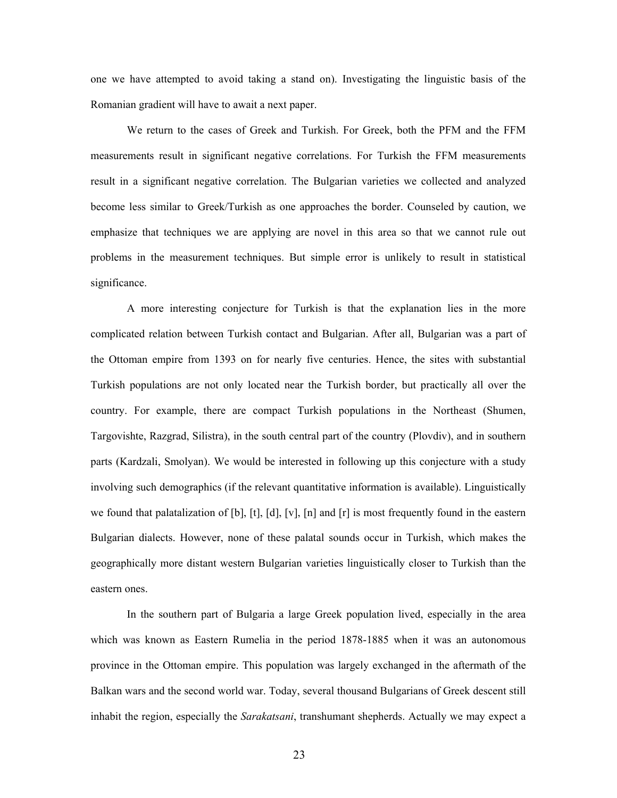one we have attempted to avoid taking a stand on). Investigating the linguistic basis of the Romanian gradient will have to await a next paper.

We return to the cases of Greek and Turkish. For Greek, both the PFM and the FFM measurements result in significant negative correlations. For Turkish the FFM measurements result in a significant negative correlation. The Bulgarian varieties we collected and analyzed become less similar to Greek/Turkish as one approaches the border. Counseled by caution, we emphasize that techniques we are applying are novel in this area so that we cannot rule out problems in the measurement techniques. But simple error is unlikely to result in statistical significance.

A more interesting conjecture for Turkish is that the explanation lies in the more complicated relation between Turkish contact and Bulgarian. After all, Bulgarian was a part of the Ottoman empire from 1393 on for nearly five centuries. Hence, the sites with substantial Turkish populations are not only located near the Turkish border, but practically all over the country. For example, there are compact Turkish populations in the Northeast (Shumen, Targovishte, Razgrad, Silistra), in the south central part of the country (Plovdiv), and in southern parts (Kardzali, Smolyan). We would be interested in following up this conjecture with a study involving such demographics (if the relevant quantitative information is available). Linguistically we found that palatalization of [b], [t], [d], [v], [n] and [r] is most frequently found in the eastern Bulgarian dialects. However, none of these palatal sounds occur in Turkish, which makes the geographically more distant western Bulgarian varieties linguistically closer to Turkish than the eastern ones.

In the southern part of Bulgaria a large Greek population lived, especially in the area which was known as Eastern Rumelia in the period 1878-1885 when it was an autonomous province in the Ottoman empire. This population was largely exchanged in the aftermath of the Balkan wars and the second world war. Today, several thousand Bulgarians of Greek descent still inhabit the region, especially the *Sarakatsani*, transhumant shepherds. Actually we may expect a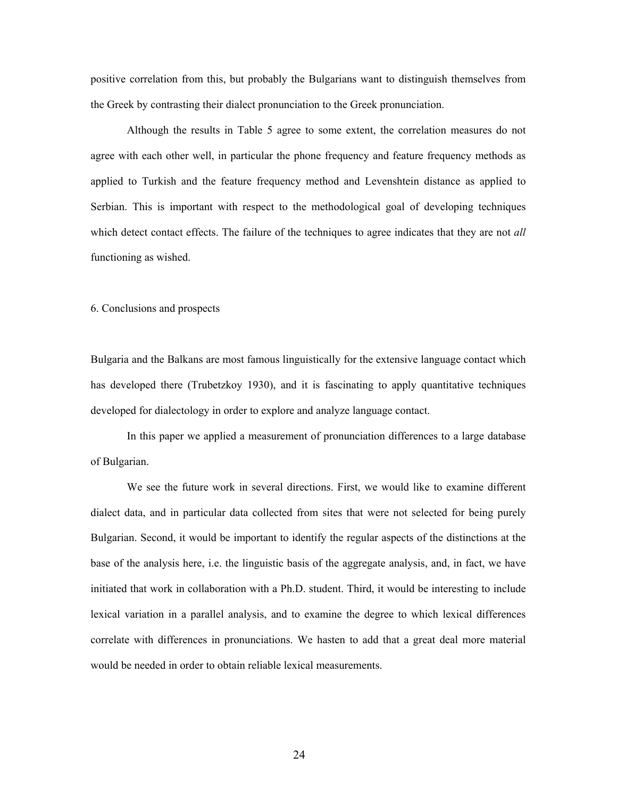positive correlation from this, but probably the Bulgarians want to distinguish themselves from the Greek by contrasting their dialect pronunciation to the Greek pronunciation.

Although the results in Table 5 agree to some extent, the correlation measures do not agree with each other well, in particular the phone frequency and feature frequency methods as applied to Turkish and the feature frequency method and Levenshtein distance as applied to Serbian. This is important with respect to the methodological goal of developing techniques which detect contact effects. The failure of the techniques to agree indicates that they are not *all* functioning as wished.

### 6. Conclusions and prospects

Bulgaria and the Balkans are most famous linguistically for the extensive language contact which has developed there (Trubetzkoy 1930), and it is fascinating to apply quantitative techniques developed for dialectology in order to explore and analyze language contact.

In this paper we applied a measurement of pronunciation differences to a large database of Bulgarian.

We see the future work in several directions. First, we would like to examine different dialect data, and in particular data collected from sites that were not selected for being purely Bulgarian. Second, it would be important to identify the regular aspects of the distinctions at the base of the analysis here, i.e. the linguistic basis of the aggregate analysis, and, in fact, we have initiated that work in collaboration with a Ph.D. student. Third, it would be interesting to include lexical variation in a parallel analysis, and to examine the degree to which lexical differences correlate with differences in pronunciations. We hasten to add that a great deal more material would be needed in order to obtain reliable lexical measurements.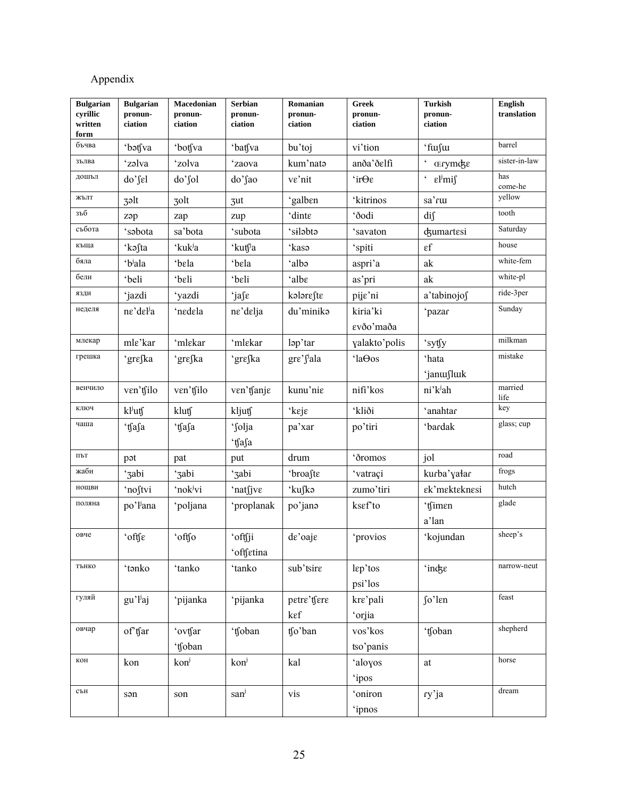# Appendix

| <b>Bulgarian</b><br>cyrillic<br>written<br>form | <b>Bulgarian</b><br>pronun-<br>ciation | Macedonian<br>pronun-<br>ciation | <b>Serbian</b><br>pronun-<br>ciation | Romanian<br>pronun-<br>ciation | <b>Greek</b><br>pronun-<br>ciation | <b>Turkish</b><br>pronun-<br>ciation                         | <b>English</b><br>translation |
|-------------------------------------------------|----------------------------------------|----------------------------------|--------------------------------------|--------------------------------|------------------------------------|--------------------------------------------------------------|-------------------------------|
| бъчва                                           | 'batfva                                | 'botfva                          | 'batfva                              | bu'toj                         | vi'tion                            | 'fu∫u                                                        | barrel                        |
| зълва                                           | 'zalva                                 | 'zolva                           | 'zaova                               | kum'nata                       | anda'delfi                         | <b>αrymckε</b>                                               | sister-in-law                 |
| дошъл                                           | do'fel                                 | do'fol                           | do'fao                               | vε'nit                         | $\cdot$ ir $\Theta$ ε              | $\boldsymbol{\varsigma}$<br>$\varepsilon$ l <sup>j</sup> mis | has<br>come-he                |
| ЖЪЛТ                                            | 3 <sup>olt</sup>                       | 30lt                             | 3ut                                  | 'galben                        | 'kitrinos                          | sa'ru                                                        | yellow                        |
| зъб                                             | zəp                                    | zap                              | zup                                  | 'dinte                         | 'ðodi                              | dif                                                          | tooth                         |
| събота                                          | 'sabota                                | sa'bota                          | 'subota                              | 'siləbtə                       | 'savaton                           | chumartesi                                                   | Saturday                      |
| къща                                            | 'kə∫ta                                 | 'kuk <sup>j</sup> a              | 'kutf <sup>j</sup> a                 | 'kasa                          | 'spiti                             | $\epsilon f$                                                 | house                         |
| бяла                                            | 'b <sup>j</sup> ala                    | 'bela                            | 'bela                                | 'albə                          | aspri'a                            | ak                                                           | white-fem                     |
| бели                                            | 'beli                                  | 'beli                            | 'bɛli                                | 'albe                          | as'pri                             | ak                                                           | white-pl                      |
| язди                                            | 'jazdi                                 | 'yazdi                           | 'ja∫ε                                | kələreste                      | pije'ni                            | a'tabinojof                                                  | ride-3per                     |
| неделя                                          | ne'del <sup>j</sup> a                  | 'nedela                          | ne'delja                             | du'minika                      | kiria'ki<br>ενδο'maδa              | 'pazar                                                       | Sunday                        |
| млекар                                          | mle'kar                                | 'mlɛkar                          | 'mlɛkar                              | ləp'tar                        | yalakto'polis                      | 'sytfy                                                       | milkman                       |
| грешка                                          | 'greska                                | 'greska                          | 'grε∫ka                              | $gr\epsilon'$ fala             | 'la <sub>θos</sub>                 | 'hata                                                        | mistake                       |
|                                                 |                                        |                                  |                                      |                                |                                    | 'janu∬luk                                                    |                               |
| венчило                                         | ven'tfilo                              | ven'tfilo                        | ven'tfanje                           | kunu'nie                       | nifi'kos                           | ni'k <sup>j</sup> ah                                         | married<br>life               |
| ключ                                            | kl <sup>j</sup> utf                    | klutf                            | kljutf                               | 'kεjε                          | 'kliði                             | 'anahtar                                                     | key                           |
| чаша                                            | 'tfafa                                 | 'tfafa                           | 'folja<br>ʻtfafa                     | pa'xar                         | po'tiri                            | 'bardak                                                      | glass; cup                    |
| $\Pi$                                           | pət                                    | pat                              | put                                  | drum                           | 'ðromos                            | jol                                                          | road                          |
| жаби                                            | '3abi                                  | '3abi                            | '3abi                                | 'broaste                       | 'vatraçi                           | kurba'yałar                                                  | frogs                         |
| нощви                                           | 'nostvi                                | 'nok <sup>j</sup> vi             | 'natsjve                             | 'kufkə                         | zumo'tiri                          | εk'mekteknesi                                                | hutch                         |
| поляна                                          | po'l'ana                               | 'poljana                         | 'proplanak                           | po'jana                        | ksef'to                            | 'tsimen<br>a'lan                                             | glade                         |
| овче                                            | 'oftfe                                 | 'oftfo                           | 'oftfji<br>'oftfetina                | de'oaje                        | 'provios                           | 'kojundan                                                    | sheep's                       |
| тънко                                           | 'tənko                                 | 'tanko                           | 'tanko                               | sub'tsire                      | lep'tos<br>psi'los                 | 'incke                                                       | narrow-neut                   |
| гуляй                                           | gu'l'aj                                | 'pijanka                         | 'pijanka                             | petre'tfere                    | kre'pali                           | $\int$ o'len                                                 | feast                         |
| овчар                                           |                                        |                                  |                                      | kεf                            | 'orjia                             |                                                              | shepherd                      |
|                                                 | of tfar                                | 'ovtfar                          | 'tfoban                              | tfo'ban                        | vos'kos                            | 'tfoban                                                      |                               |
| кон                                             |                                        | 'tfoban                          |                                      |                                | tso'panis                          |                                                              | horse                         |
|                                                 | kon                                    | kon                              | $kon^j$                              | kal                            | 'aloyos                            | at                                                           |                               |
| сън                                             |                                        |                                  |                                      |                                | 'ipos                              |                                                              | dream                         |
|                                                 | sən                                    | son                              | san <sup>j</sup>                     | vis                            | 'oniron<br>'ipnos                  | ry'ja                                                        |                               |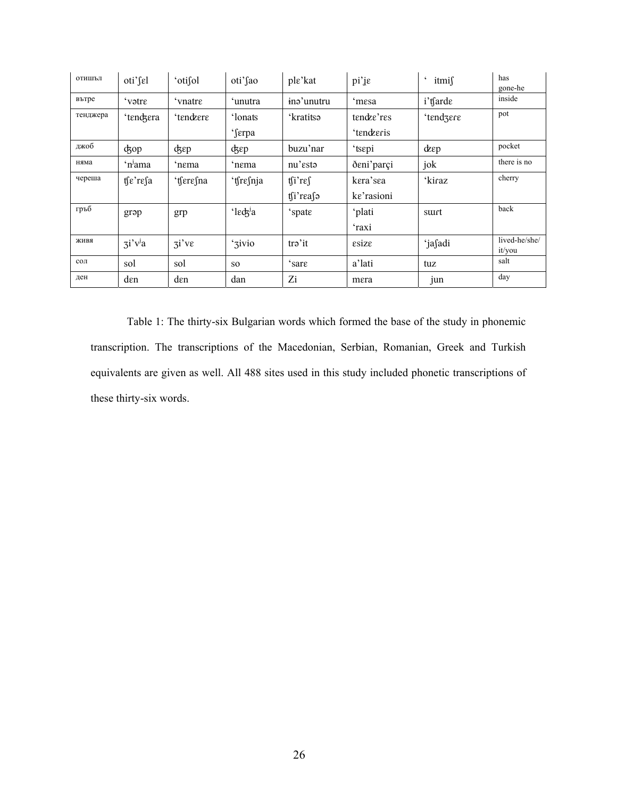| отишъл        | oti's                                     | 'otifol   | oti's so             | ple'kat             | $pi$ <sup>'</sup> j $\varepsilon$ | $\boldsymbol{\varsigma}$<br>itmi∫ | has<br>gone-he          |
|---------------|-------------------------------------------|-----------|----------------------|---------------------|-----------------------------------|-----------------------------------|-------------------------|
| вътре         | 'vətre                                    | 'vnatre   | unutra <sup>.</sup>  | ina'unutru          | 'mesa                             | i'tsarde                          | inside                  |
| тенджера      | 'tenckera                                 | 'tendzere | 'lonats              | 'kratitsə           | tendee'res                        | 'tendzere                         | pot                     |
|               |                                           |           | 'Serpa               |                     | 'tendzeris                        |                                   |                         |
| джоб          | $\phi$                                    | $\deg$    | $\deg$               | buzu'nar            | <i>'tsεpi</i>                     | $\alpha$                          | pocket                  |
| няма          | 'n <sup>j</sup> ama                       | 'nema     | 'nema                | $nu$ 'est $\theta$  | ðeni'parçi                        | jok                               | there is no             |
| череша        | $t\int \varepsilon' r \varepsilon \int a$ | 'tseresna | 'tfrefnja            | $\text{tfi}$ 'ress  | kera'sea                          | 'kiraz                            | cherry                  |
|               |                                           |           |                      | tfi'reafa           | ke'rasioni                        |                                   |                         |
| гръб          | grəp                                      | grp       | 'lech <sup>j</sup> a | 'spate              | 'plati                            | suirt                             | back                    |
|               |                                           |           |                      |                     | ʻraxi                             |                                   |                         |
| живя          | $3i'v^ja$                                 | 3i've     | '3ivio               | tr <sub>9</sub> 'it | $\epsilon$ siz $\epsilon$         | 'jasadi                           | lived-he/she/<br>it/you |
| $_{\rm COII}$ | sol                                       | sol       | so                   | 'sare               | a'lati                            | tuz                               | salt                    |
| ден           | den                                       | dεn       | dan                  | Zi                  | mera                              | jun                               | day                     |

Table 1: The thirty-six Bulgarian words which formed the base of the study in phonemic transcription. The transcriptions of the Macedonian, Serbian, Romanian, Greek and Turkish equivalents are given as well. All 488 sites used in this study included phonetic transcriptions of these thirty-six words.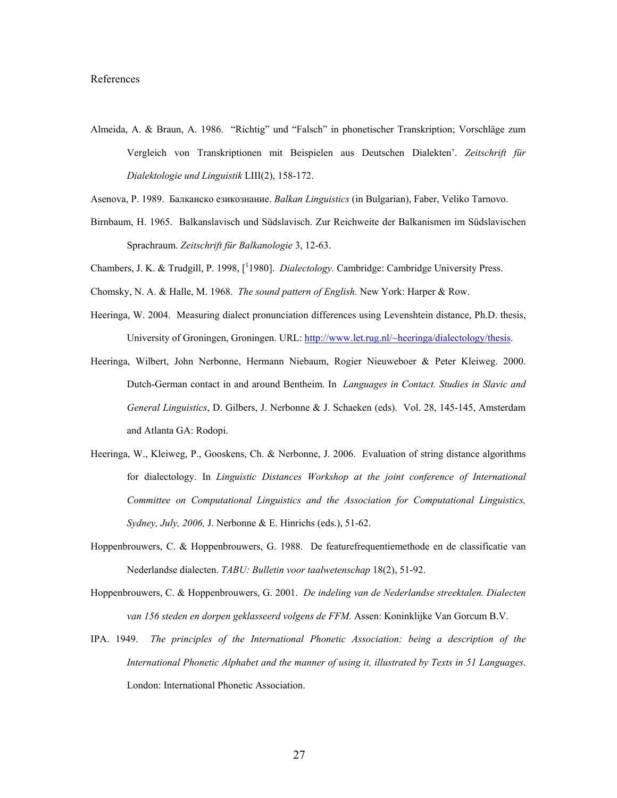- Almeida, A. & Braun, A. 1986. "Richtig" und "Falsch" in phonetischer Transkription; Vorschläge zum Vergleich von Transkriptionen mit Beispielen aus Deutschen Dialekten'. *Zeitschrift für Dialektologie und Linguistik* LIII(2), 158-172.
- Asenova, P. 1989. Балканско езикознание. *Balkan Linguistics* (in Bulgarian), Faber, Veliko Tarnovo.
- Birnbaum, H. 1965. Balkanslavisch und Südslavisch. Zur Reichweite der Balkanismen im Südslavischen Sprachraum. *Zeitschrift für Balkanologie* 3, 12-63.

Chambers, J. K. & Trudgill, P. 1998, [<sup>1</sup>1980]. *Dialectology*. Cambridge: Cambridge University Press.

- Chomsky, N. A. & Halle, M. 1968. *The sound pattern of English.* New York: Harper & Row.
- Heeringa, W. 2004. Measuring dialect pronunciation differences using Levenshtein distance, Ph.D. thesis, University of Groningen, Groningen. URL: [http://www.let.rug.nl/~heeringa/dialectology/thesis.](http://www.let.rug.nl/%7Eheeringa/dialectology/thesis)
- Heeringa, Wilbert, John Nerbonne, Hermann Niebaum, Rogier Nieuweboer & Peter Kleiweg. 2000. Dutch-German contact in and around Bentheim. In *Languages in Contact. Studies in Slavic and General Linguistics*, D. Gilbers, J. Nerbonne & J. Schaeken (eds). Vol. 28, 145-145, Amsterdam and Atlanta GA: Rodopi.
- Heeringa, W., Kleiweg, P., Gooskens, Ch. & Nerbonne, J. 2006. Evaluation of string distance algorithms for dialectology. In *Linguistic Distances Workshop at the joint conference of International Committee on Computational Linguistics and the Association for Computational Linguistics, Sydney, July, 2006,* J. Nerbonne & E. Hinrichs (eds.), 51-62.
- Hoppenbrouwers, C. & Hoppenbrouwers, G. 1988. De featurefrequentiemethode en de classificatie van Nederlandse dialecten. *TABU: Bulletin voor taalwetenschap* 18(2), 51-92.
- Hoppenbrouwers, C. & Hoppenbrouwers, G. 2001. *De indeling van de Nederlandse streektalen. Dialecten van 156 steden en dorpen geklasseerd volgens de FFM.* Assen: Koninklijke Van Gorcum B.V.
- IPA. 1949. *The principles of the International Phonetic Association: being a description of the International Phonetic Alphabet and the manner of using it, illustrated by Texts in 51 Languages*. London: International Phonetic Association.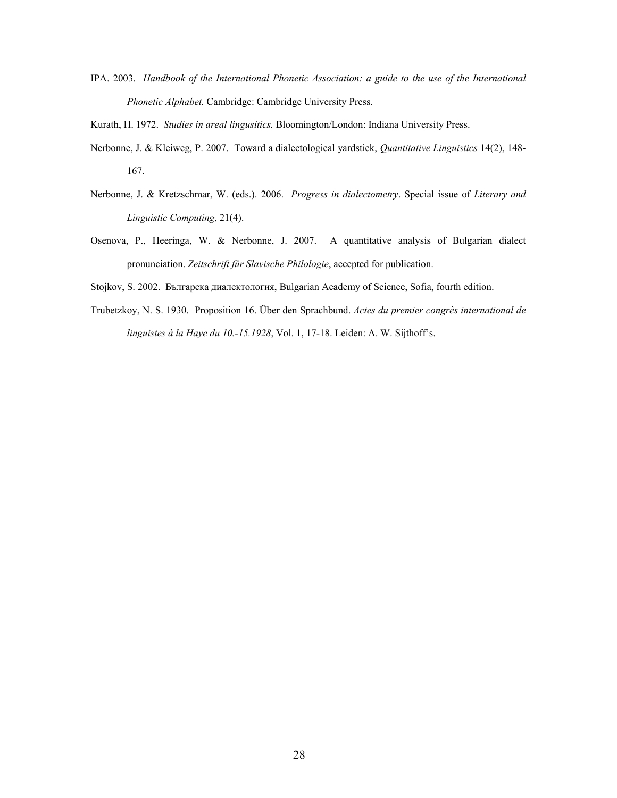IPA. 2003. *Handbook of the International Phonetic Association: a guide to the use of the International Phonetic Alphabet.* Cambridge: Cambridge University Press.

Kurath, H. 1972. *Studies in areal lingusitics.* Bloomington/London: Indiana University Press.

- Nerbonne, J. & Kleiweg, P. 2007. Toward a dialectological yardstick, *Quantitative Linguistics* 14(2), 148- 167.
- Nerbonne, J. & Kretzschmar, W. (eds.). 2006. *Progress in dialectometry*. Special issue of *Literary and Linguistic Computing*, 21(4).
- Osenova, P., Heeringa, W. & Nerbonne, J. 2007. A quantitative analysis of Bulgarian dialect pronunciation. *Zeitschrift für Slavische Philologie*, accepted for publication.
- Stojkov, S. 2002. Българска диалектология, Bulgarian Academy of Science, Sofia, fourth edition.
- Trubetzkoy, N. S. 1930. Proposition 16. Über den Sprachbund. *Actes du premier congrès international de linguistes à la Haye du 10.-15.1928*, Vol. 1, 17-18. Leiden: A. W. Sijthoff's.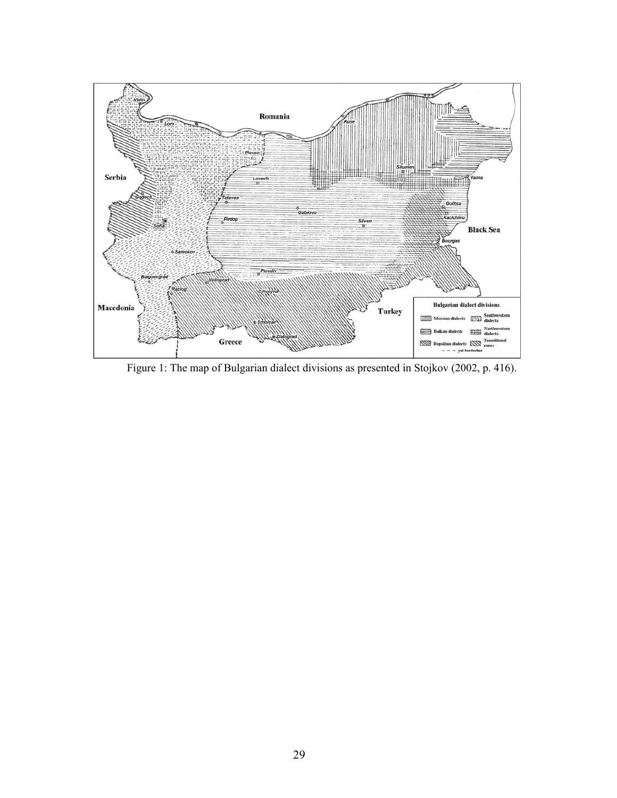

Figure 1: The map of Bulgarian dialect divisions as presented in Stojkov (2002, p. 416).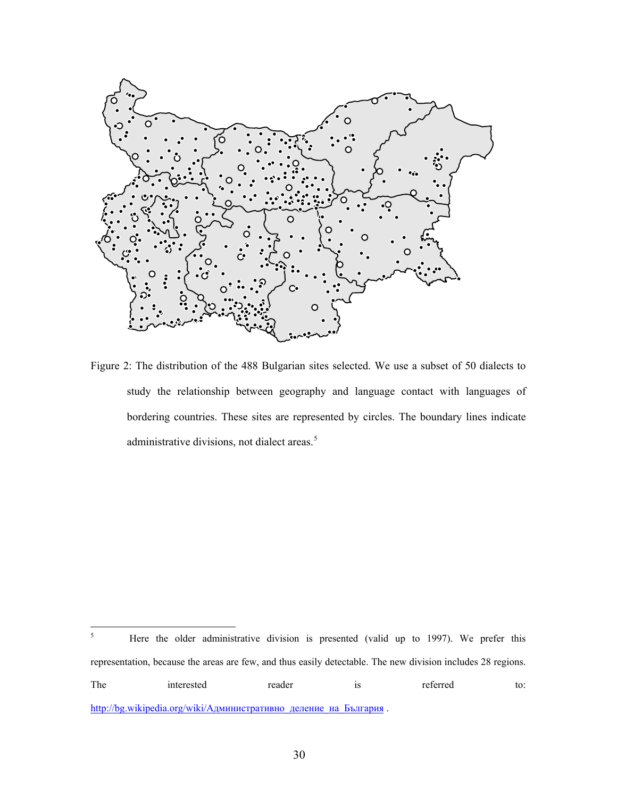

Figure 2: The distribution of the 488 Bulgarian sites selected. We use a subset of 50 dialects to study the relationship between geography and language contact with languages of bordering countries. These sites are represented by circles. The boundary lines indicate administrative divisions, not dialect areas.<sup>[5](#page-29-0)</sup>

<span id="page-29-0"></span> 5 Here the older administrative division is presented (valid up to 1997). We prefer this representation, because the areas are few, and thus easily detectable. The new division includes 28 regions. The interested reader is referred to: [http://bg.wikipedia.org/wiki/](http://bg.wikipedia.org/wiki/%D0%90%D0%B4%D0%BC%D0%B8%D0%BD%D0%B8%D1%81%D1%82%D1%80%D0%B0%D1%82%D0%B8%D0%B2%D0%BD%D0%BE_%D0%B4%D0%B5%D0%BB%D0%B5%D0%BD%D0%B8%D0%B5_%D0%BD%D0%B0_%D0%91%D1%8A%D0%BB%D0%B3%D0%B0%D1%80%D0%B8%D1%8F)Административно деление на България .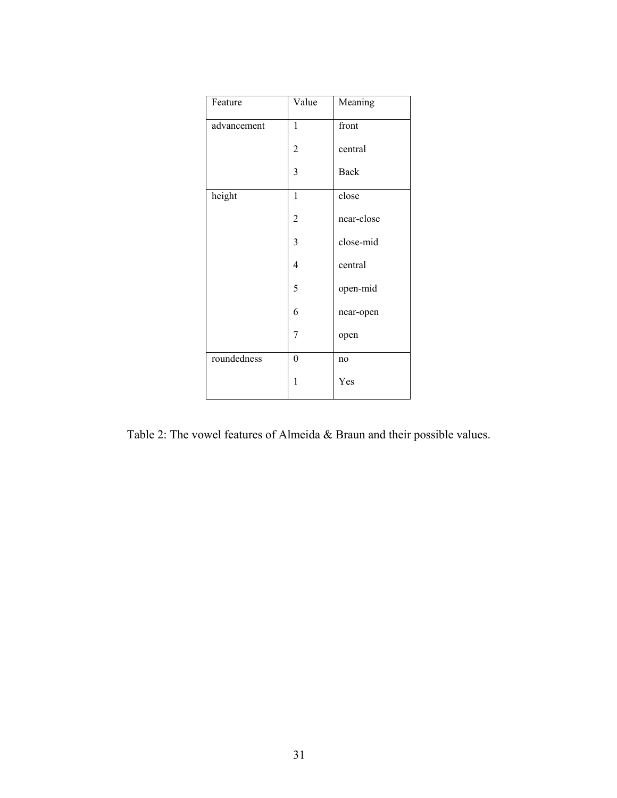| Feature     | Value            | Meaning    |
|-------------|------------------|------------|
| advancement | $\mathbf{1}$     | front      |
|             | $\overline{2}$   | central    |
|             | 3                | Back       |
| height      | $\mathbf{1}$     | close      |
|             | $\overline{c}$   | near-close |
|             | 3                | close-mid  |
|             | $\overline{4}$   | central    |
|             | 5                | open-mid   |
|             | 6                | near-open  |
|             | $\overline{7}$   | open       |
| roundedness | $\boldsymbol{0}$ | no         |
|             | $\mathbf{1}$     | Yes        |

Table 2: The vowel features of Almeida & Braun and their possible values.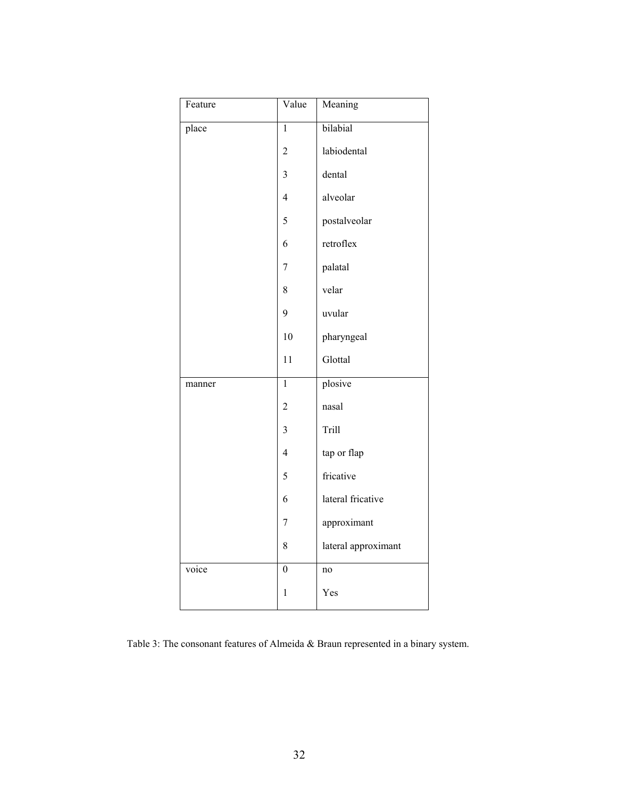| Feature | Value                   | Meaning             |
|---------|-------------------------|---------------------|
| place   | $\overline{1}$          | bilabial            |
|         | $\overline{2}$          | labiodental         |
|         | $\overline{3}$          | dental              |
|         | $\overline{4}$          | alveolar            |
|         | 5                       | postalveolar        |
|         | 6                       | retroflex           |
|         | 7                       | palatal             |
|         | 8                       | velar               |
|         | 9                       | uvular              |
|         | $10\,$                  | pharyngeal          |
|         | 11                      | Glottal             |
| manner  | $\mathbf{1}$            | plosive             |
|         | $\overline{c}$          | nasal               |
|         | $\overline{\mathbf{3}}$ | <b>Trill</b>        |
|         | $\overline{4}$          | tap or flap         |
|         | 5                       | fricative           |
|         | 6                       | lateral fricative   |
|         | $\tau$                  | approximant         |
|         | 8                       | lateral approximant |
| voice   | $\overline{0}$          | no                  |
|         | 1                       | Yes                 |

Table 3: The consonant features of Almeida & Braun represented in a binary system.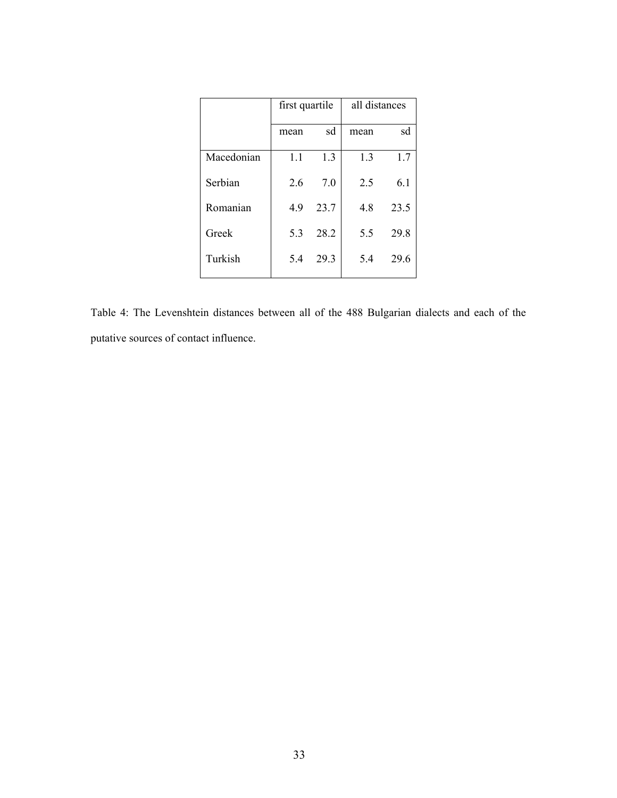|            | first quartile |      | all distances |      |
|------------|----------------|------|---------------|------|
|            | mean           | sd   | mean          | sd   |
| Macedonian | 1.1            | 1.3  | 1.3           | 1.7  |
| Serbian    | 26             | 7.0  | 2.5           | 61   |
| Romanian   | 49             | 23.7 | 48            | 23.5 |
| Greek      | 5.3            | 28.2 | 5.5           | 29.8 |
| Turkish    | 5.4            | 29.3 | 5.4           | 29.6 |

Table 4: The Levenshtein distances between all of the 488 Bulgarian dialects and each of the putative sources of contact influence.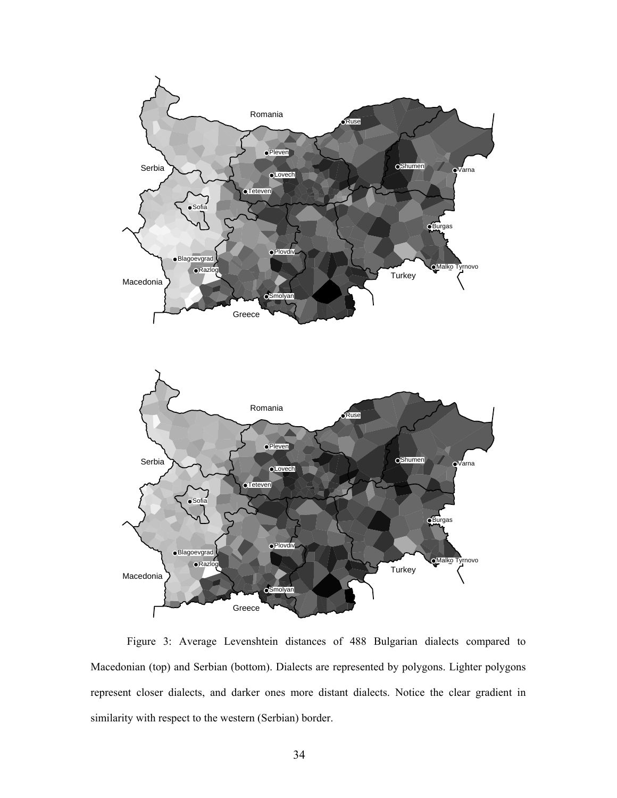

Figure 3: Average Levenshtein distances of 488 Bulgarian dialects compared to Macedonian (top) and Serbian (bottom). Dialects are represented by polygons. Lighter polygons represent closer dialects, and darker ones more distant dialects. Notice the clear gradient in similarity with respect to the western (Serbian) border.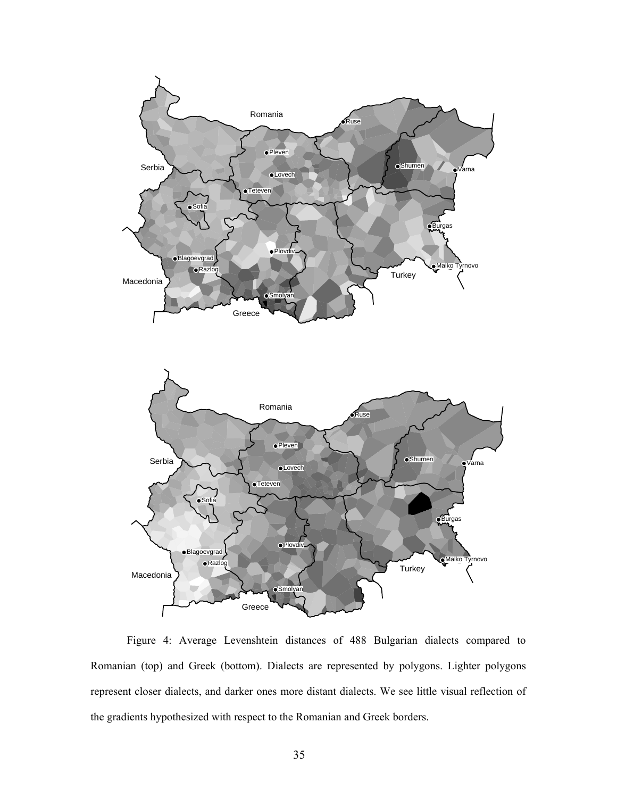

Figure 4: Average Levenshtein distances of 488 Bulgarian dialects compared to Romanian (top) and Greek (bottom). Dialects are represented by polygons. Lighter polygons represent closer dialects, and darker ones more distant dialects. We see little visual reflection of the gradients hypothesized with respect to the Romanian and Greek borders.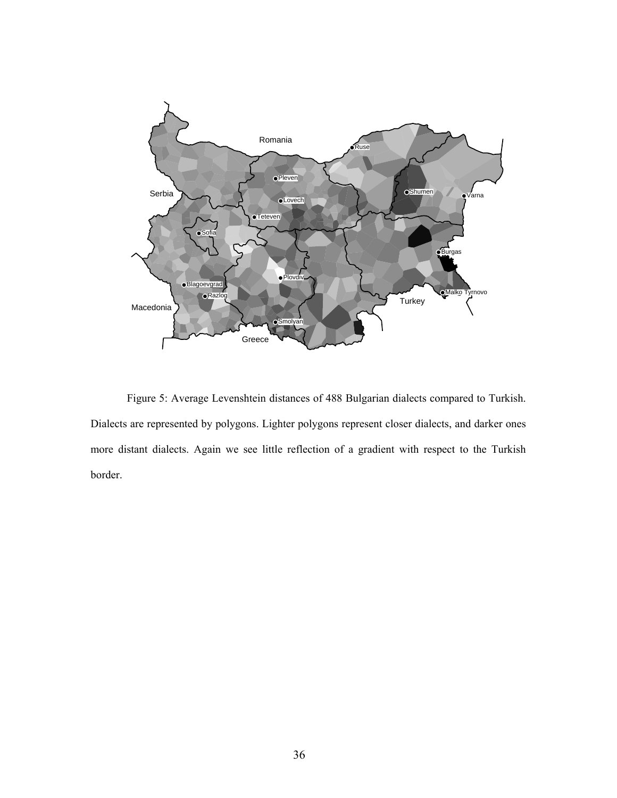

Figure 5: Average Levenshtein distances of 488 Bulgarian dialects compared to Turkish. Dialects are represented by polygons. Lighter polygons represent closer dialects, and darker ones more distant dialects. Again we see little reflection of a gradient with respect to the Turkish border.